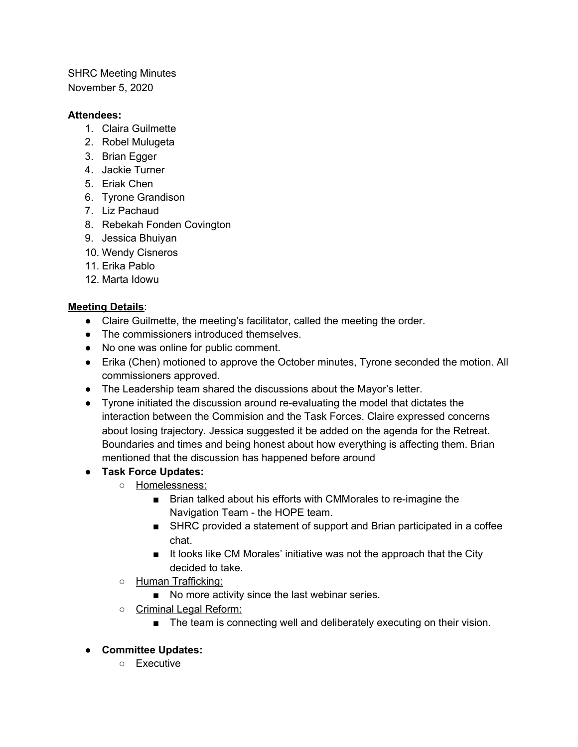SHRC Meeting Minutes November 5, 2020

## **Attendees:**

- 1. Claira Guilmette
- 2. Robel Mulugeta
- 3. Brian Egger
- 4. Jackie Turner
- 5. Eriak Chen
- 6. Tyrone Grandison
- 7. Liz Pachaud
- 8. Rebekah Fonden Covington
- 9. Jessica Bhuiyan
- 10. Wendy Cisneros
- 11. Erika Pablo
- 12. Marta Idowu

## **Meeting Details**:

- Claire Guilmette, the meeting's facilitator, called the meeting the order.
- The commissioners introduced themselves.
- No one was online for public comment.
- Erika (Chen) motioned to approve the October minutes, Tyrone seconded the motion. All commissioners approved.
- The Leadership team shared the discussions about the Mayor's letter.
- Tyrone initiated the discussion around re-evaluating the model that dictates the interaction between the Commision and the Task Forces. Claire expressed concerns about losing trajectory. Jessica suggested it be added on the agenda for the Retreat. Boundaries and times and being honest about how everything is affecting them. Brian mentioned that the discussion has happened before around
- **● Task Force Updates:**
	- Homelessness:
		- Brian talked about his efforts with CMMorales to re-imagine the Navigation Team - the HOPE team.
		- SHRC provided a statement of support and Brian participated in a coffee chat.
		- It looks like CM Morales' initiative was not the approach that the City decided to take.
	- Human Trafficking:
		- No more activity since the last webinar series.
	- Criminal Legal Reform:
		- The team is connecting well and deliberately executing on their vision.
- **● Committee Updates:**
	- Executive